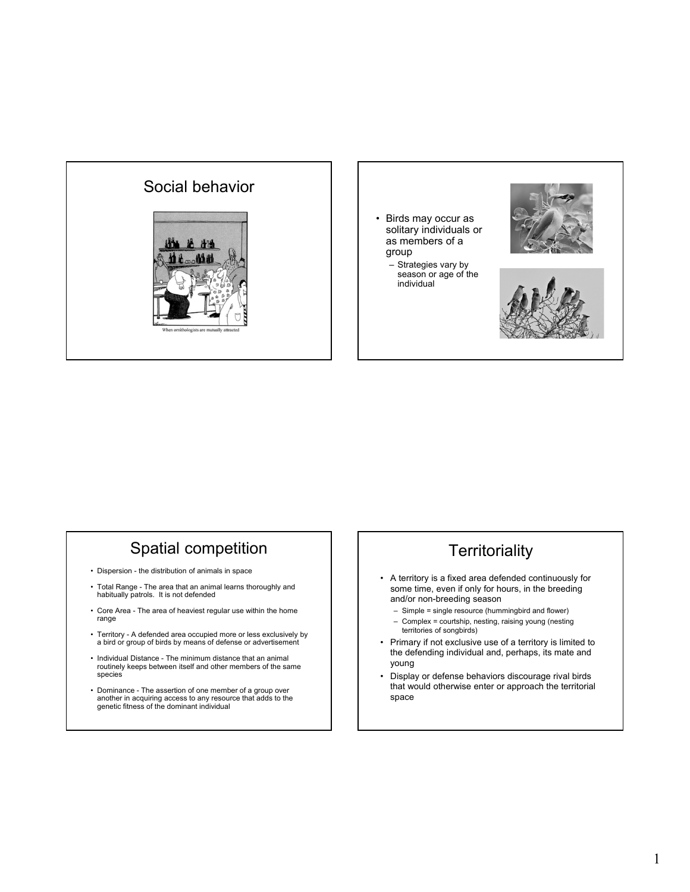



season or age of the individual





## Spatial competition

- Dispersion the distribution of animals in space
- Total Range The area that an animal learns thoroughly and habitually patrols. It is not defended
- Core Area The area of heaviest regular use within the home range
- Territory A defended area occupied more or less exclusively by a bird or group of birds by means of defense or advertisement
- Individual Distance The minimum distance that an animal routinely keeps between itself and other members of the same species
- Dominance The assertion of one member of a group over another in acquiring access to any resource that adds to the genetic fitness of the dominant individual

## **Territoriality**

- A territory is a fixed area defended continuously for some time, even if only for hours, in the breeding and/or non-breeding season
	- Simple = single resource (hummingbird and flower) – Complex = courtship, nesting, raising young (nesting territories of songbirds)
- Primary if not exclusive use of a territory is limited to the defending individual and, perhaps, its mate and young
- Display or defense behaviors discourage rival birds that would otherwise enter or approach the territorial space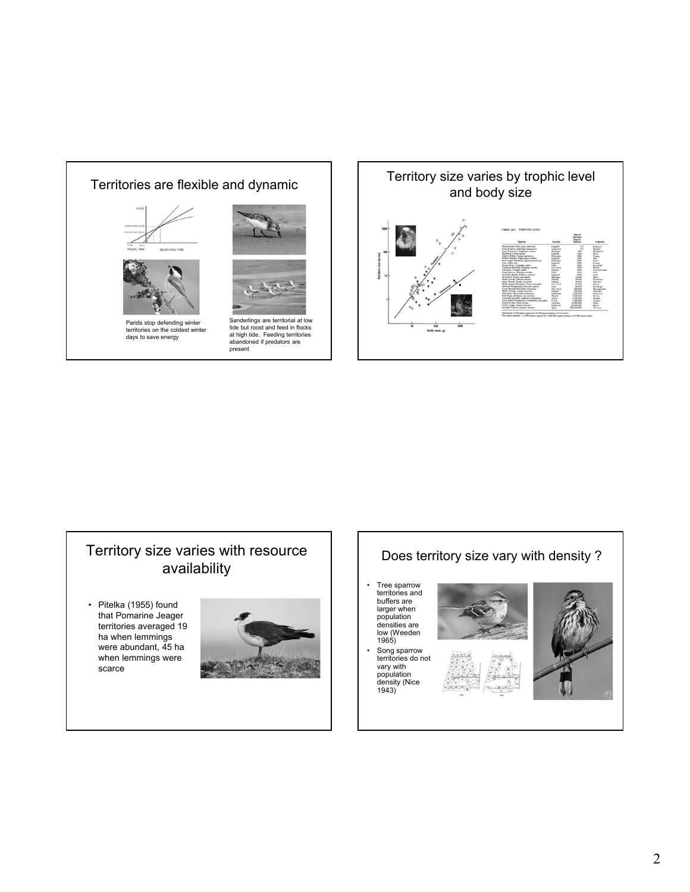

at high tide. Feeding territories abandoned if predators are present



## Territory size varies with resource availability

• Pitelka (1955) found that Pomarine Jeager territories averaged 19 ha when lemmings were abundant, 45 ha when lemmings were scarce



#### Does territory size vary with density ?

- Tree sparrow territories and buffers are larger when population densities are low (Weeden 1965)
- Song sparrow territories do not vary with





population density (Nice 1943)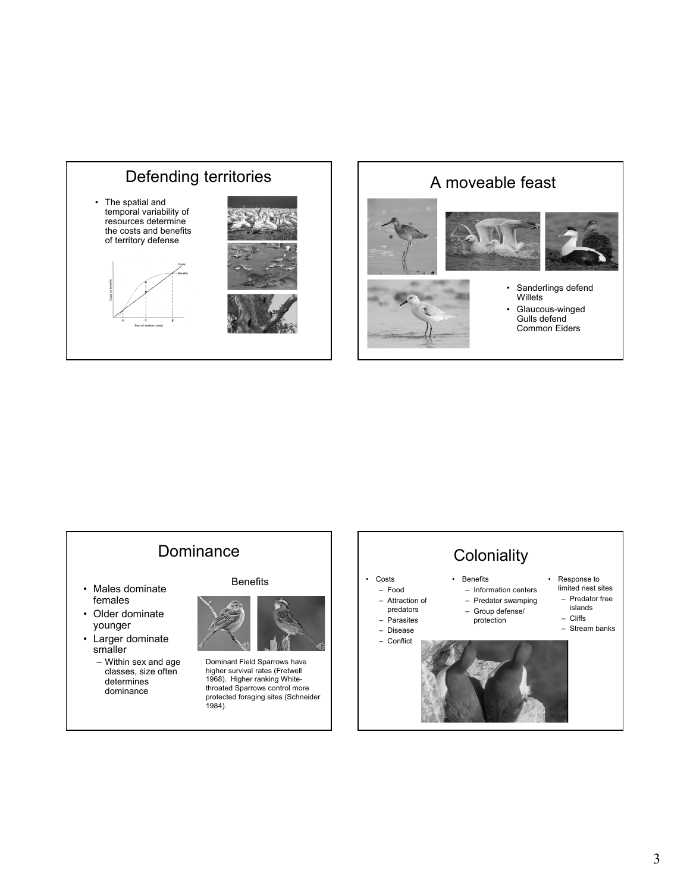

## A moveable feast





- 
- Sanderlings defend Willets
- Glaucous-winged Gulls defend Common Eiders



**Coloniality** • Benefits – Information centers – Predator swamping – Group defense/ protection • Response to limited nest sites – Predator free islands – Cliffs – Stream banks